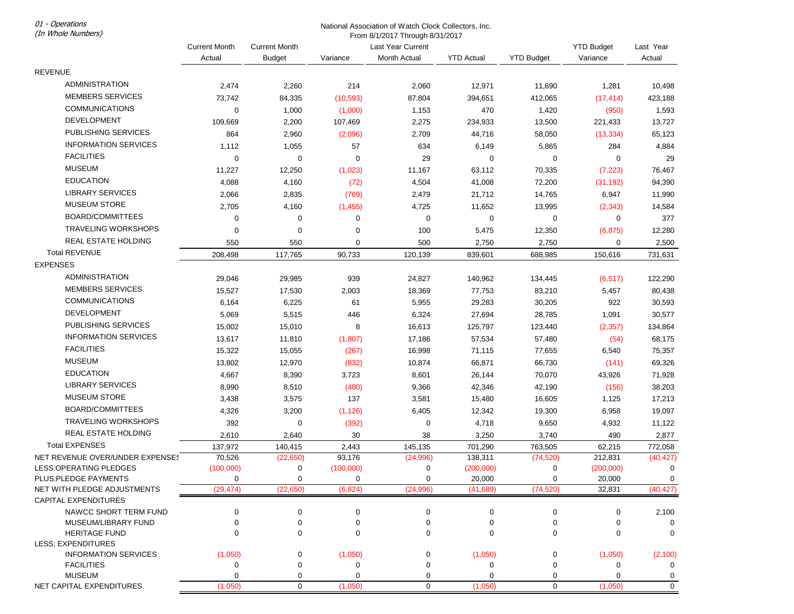01 - Operations (In Whole Numbers)

## National Association of Watch Clock Collectors, Inc.

From 8/1/2017 Through 8/31/2017

|                                 | <b>Current Month</b> | <b>Current Month</b> |             | Last Year Current    |                    |                   | <b>YTD Budget</b> | Last Year            |
|---------------------------------|----------------------|----------------------|-------------|----------------------|--------------------|-------------------|-------------------|----------------------|
|                                 | Actual               | <b>Budget</b>        | Variance    | Month Actual         | <b>YTD Actual</b>  | <b>YTD Budget</b> | Variance          | Actual               |
| <b>REVENUE</b>                  |                      |                      |             |                      |                    |                   |                   |                      |
| <b>ADMINISTRATION</b>           | 2,474                | 2,260                | 214         | 2,060                | 12,971             | 11,690            | 1,281             | 10,498               |
| <b>MEMBERS SERVICES</b>         | 73,742               | 84,335               | (10, 593)   | 87,804               | 394,651            | 412,065           | (17, 414)         | 423,188              |
| <b>COMMUNICATIONS</b>           | 0                    | 1,000                | (1,000)     | 1,153                | 470                | 1,420             | (950)             | 1,593                |
| <b>DEVELOPMENT</b>              | 109,669              | 2,200                | 107,469     | 2,275                | 234,933            | 13,500            | 221,433           | 13,727               |
| PUBLISHING SERVICES             | 864                  | 2,960                | (2,096)     | 2,709                | 44,716             | 58,050            | (13, 334)         | 65,123               |
| <b>INFORMATION SERVICES</b>     | 1,112                | 1,055                | 57          | 634                  | 6,149              | 5,865             | 284               | 4,884                |
| <b>FACILITIES</b>               | 0                    | $\mathbf 0$          | $\mathbf 0$ | 29                   | $\mathbf 0$        | $\mathbf 0$       | 0                 | 29                   |
| <b>MUSEUM</b>                   | 11,227               | 12,250               | (1,023)     | 11,167               | 63,112             | 70,335            | (7, 223)          | 76,467               |
| <b>EDUCATION</b>                | 4,088                | 4,160                | (72)        | 4,504                | 41,008             | 72,200            | (31, 192)         | 94,390               |
| <b>LIBRARY SERVICES</b>         |                      |                      |             |                      |                    |                   |                   |                      |
| <b>MUSEUM STORE</b>             | 2,066                | 2,835                | (769)       | 2,479                | 21,712             | 14,765            | 6,947             | 11,990               |
| BOARD/COMMITTEES                | 2,705                | 4,160                | (1,455)     | 4,725                | 11,652             | 13,995            | (2, 343)          | 14,584               |
|                                 | 0                    | $\mathbf 0$          | 0           | 0                    | $\mathbf 0$        | 0                 | 0                 | 377                  |
| <b>TRAVELING WORKSHOPS</b>      | 0                    | 0                    | $\mathbf 0$ | 100                  | 5,475              | 12,350            | (6, 875)          | 12,280               |
| REAL ESTATE HOLDING             | 550                  | 550                  | 0           | 500                  | 2,750              | 2,750             | 0                 | 2,500                |
| <b>Total REVENUE</b>            | 208,498              | 117,765              | 90,733      | 120,139              | 839,601            | 688,985           | 150,616           | 731,631              |
| <b>EXPENSES</b>                 |                      |                      |             |                      |                    |                   |                   |                      |
| <b>ADMINISTRATION</b>           | 29,046               | 29,985               | 939         | 24,827               | 140,962            | 134,445           | (6, 517)          | 122,290              |
| <b>MEMBERS SERVICES</b>         | 15,527               | 17,530               | 2,003       | 18,369               | 77,753             | 83,210            | 5,457             | 80,438               |
| <b>COMMUNICATIONS</b>           | 6,164                | 6,225                | 61          | 5,955                | 29,283             | 30,205            | 922               | 30,593               |
| <b>DEVELOPMENT</b>              | 5,069                | 5,515                | 446         | 6,324                | 27,694             | 28,785            | 1,091             | 30,577               |
| PUBLISHING SERVICES             | 15,002               | 15,010               | 8           | 16,613               | 125,797            | 123,440           | (2, 357)          | 134,864              |
| <b>INFORMATION SERVICES</b>     | 13,617               | 11,810               | (1,807)     | 17,186               | 57,534             | 57,480            | (54)              | 68,175               |
| <b>FACILITIES</b>               | 15,322               | 15,055               | (267)       | 16,998               | 71,115             | 77,655            | 6,540             | 75,357               |
| <b>MUSEUM</b>                   | 13,802               | 12,970               | (832)       | 10,874               | 66,871             | 66,730            | (141)             | 69,326               |
| <b>EDUCATION</b>                | 4,667                | 8,390                | 3,723       | 8,601                | 26,144             | 70,070            | 43,926            | 71,928               |
| <b>LIBRARY SERVICES</b>         | 8,990                | 8,510                | (480)       | 9,366                | 42,346             | 42,190            | (156)             | 38,203               |
| <b>MUSEUM STORE</b>             | 3,438                | 3,575                | 137         | 3,581                | 15,480             | 16,605            | 1,125             | 17,213               |
| BOARD/COMMITTEES                | 4,326                | 3,200                | (1, 126)    | 6,405                | 12,342             | 19,300            | 6,958             | 19,097               |
| <b>TRAVELING WORKSHOPS</b>      | 392                  | $\mathbf 0$          | (392)       | 0                    | 4,718              | 9,650             | 4,932             | 11,122               |
| <b>REAL ESTATE HOLDING</b>      | 2,610                | 2,640                | 30          | 38                   | 3,250              | 3,740             | 490               | 2,877                |
| <b>Total EXPENSES</b>           |                      |                      | 2,443       |                      |                    |                   |                   |                      |
| NET REVENUE OVER/UNDER EXPENSES | 137,972<br>70,526    | 140,415<br>(22, 650) | 93,176      | 145,135<br>(24, 996) | 701,290<br>138,311 | 763,505           | 62,215<br>212,831 | 772,058<br>(40, 427) |
| LESS:OPERATING PLEDGES          | (100,000)            | 0                    | (100,000)   | 0                    | (200,000)          | (74, 520)<br>0    | (200,000)         | 0                    |
| PLUS: PLEDGE PAYMENTS           | 0                    | 0                    | 0           | 0                    | 20,000             | 0                 | 20,000            | 0                    |
| NET WITH PLEDGE ADJUSTMENTS     | (29, 474)            | (22, 650)            | (6, 824)    | (24, 996)            | (41, 689)          | (74, 520)         | 32,831            | (40, 427)            |
| <b>CAPITAL EXPENDITURES</b>     |                      |                      |             |                      |                    |                   |                   |                      |
| NAWCC SHORT TERM FUND           | 0                    | ∩                    | 0           | $\Omega$             | 0                  | 0                 | 0                 | 2,100                |
| MUSEUM/LIBRARY FUND             | 0                    | 0                    | 0           | 0                    | 0                  | 0                 | 0                 | $\Omega$             |
| <b>HERITAGE FUND</b>            | O                    | 0                    | 0           | 0                    | 0                  | $\Omega$          | 0                 | 0                    |
| LESS; EXPENDITURES              |                      |                      |             |                      |                    |                   |                   |                      |
| <b>INFORMATION SERVICES</b>     | (1,050)              | 0                    | (1,050)     | 0                    | (1,050)            | 0                 | (1,050)           | (2, 100)             |
| <b>FACILITIES</b>               | 0                    |                      | 0           | ∩                    | 0                  | 0                 | 0                 | 0                    |
| <b>MUSEUM</b>                   | O                    | 0                    | $\Omega$    | 0                    | 0                  | 0                 | 0                 | 0                    |
| NET CAPITAL EXPENDITURES        | (1,050)              | $\mathbf 0$          | (1,050)     | $\mathbf 0$          | (1,050)            | $\mathbf 0$       | (1,050)           | $\mathbf 0$          |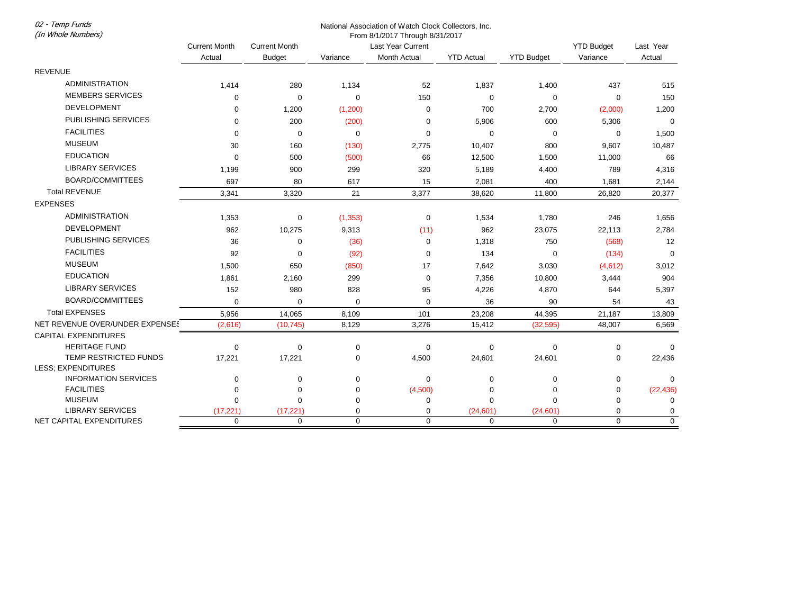National Association of Watch Clock Collectors, Inc. From 8/1/2017 Through 8/31/2017 (In Whole Numbers) Current Month Actual Current Month Budget Variance Last Year Current Month Actual YTD Actual YTD Budget YTD Budget Variance Last Year Actual REVENUE ADMINISTRATION 1,414 280 1,134 52 1,837 1,400 437 515 MEMBERS SERVICES 0 0 0 150 0 0 0 150 DEVELOPMENT 0 1,200 (1,200) 0 700 2,700 (2,000) 1,200 PUBLISHING SERVICES 0 200 (200) 0 5,906 600 5,306 0 FACILITIES 0 0 0 0 0 0 0 1,500 MUSEUM 30 160 (130) 2,775 10,407 800 9,607 10,487 EDUCATION 0 500 (500) 66 12,500 1,500 11,000 66 LIBRARY SERVICES 1,199 900 299 320 5,189 4,400 789 4,316 BOARD/COMMITTEES 697 80 617 15 2,081 400 1,681 2,144 Total REVENUE 3,341 3,320 21 3,377 38,620 11,800 26,820 20,377 EXPENSES ADMINISTRATION 1,353 0 (1,353) 0 1,534 1,780 246 1,656 DEVELOPMENT 962 10,275 9,313 (11) 962 23,075 22,113 2,784 PUBLISHING SERVICES 36 0 (36) 0 1,318 750 (568) 12 FACILITIES 92 0 (92) 0 134 0 (134) 0 MUSEUM 1,500 650 (850) 17 7,642 3,030 (4,612) 3,012 EDUCATION 1,861 2,160 299 0 7,356 10,800 3,444 904 LIBRARY SERVICES 152 980 828 95 4,226 4,870 644 5,397 BOARD/COMMITTEES 0 0 0 0 36 90 54 43 Total EXPENSES 5,956 14,065 8,109 101 23,208 44,395 21,187 13,809 NET REVENUE OVER/UNDER EXPENSES (2,616) (10,745) 8,129 3,276 15,412 (32,595) 48,007 6,569 CAPITAL EXPENDITURES HERITAGE FUND 0 0 0 0 0 0 0 0 TEMP RESTRICTED FUNDS 17,221 17,221 0 4,500 24,601 24,601 0 22,436 LESS; EXPENDITURES INFORMATION SERVICES 0 0 0 0 0 0 0 0 FACILITIES 0 0 0 (4,500) 0 0 0 (22,436) MUSEUM 0 0 0 0 0 0 0 0 LIBRARY SERVICES (17,221) (17,221) 0 0 (24,601) (24,601) 0 0 NET CAPITAL EXPENDITURES 0 0 0 0 0 0 0 0

02 - Temp Funds